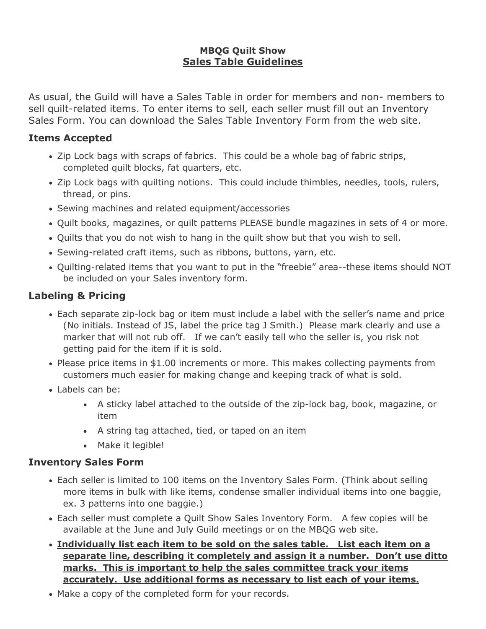### **MBQG Quilt Show Sales Table Guidelines**

As usual, the Guild will have a Sales Table in order for members and non- members to sell quilt-related items. To enter items to sell, each seller must fill out an Inventory Sales Form. You can download the Sales Table Inventory Form from the web site.

### **Items Accepted**

- Zip Lock bags with scraps of fabrics. This could be a whole bag of fabric strips, completed quilt blocks, fat quarters, etc.
- Zip Lock bags with quilting notions. This could include thimbles, needles, tools, rulers, thread, or pins.
- Sewing machines and related equipment/accessories
- Quilt books, magazines, or quilt patterns PLEASE bundle magazines in sets of 4 or more.
- Quilts that you do not wish to hang in the quilt show but that you wish to sell.
- Sewing-related craft items, such as ribbons, buttons, yarn, etc.
- Quilting-related items that you want to put in the "freebie" area--these items should NOT be included on your Sales inventory form.

# **Labeling & Pricing**

- Each separate zip-lock bag or item must include a label with the seller's name and price (No initials. Instead of JS, label the price tag J Smith.) Please mark clearly and use a marker that will not rub off. If we can't easily tell who the seller is, you risk not getting paid for the item if it is sold.
- Please price items in \$1.00 increments or more. This makes collecting payments from customers much easier for making change and keeping track of what is sold.
- Labels can be:
	- A sticky label attached to the outside of the zip-lock bag, book, magazine, or item
	- A string tag attached, tied, or taped on an item
	- Make it legible!

## **Inventory Sales Form**

- Each seller is limited to 100 items on the Inventory Sales Form. (Think about selling more items in bulk with like items, condense smaller individual items into one baggie, ex. 3 patterns into one baggie.)
- Each seller must complete a Quilt Show Sales Inventory Form. A few copies will be available at the June and July Guild meetings or on the MBQG web site.
- **Individually list each item to be sold on the sales table. List each item on a separate line, describing it completely and assign it a number. Don't use ditto marks. This is important to help the sales committee track your items accurately. Use additional forms as necessary to list each of your items.**
- Make a copy of the completed form for your records.